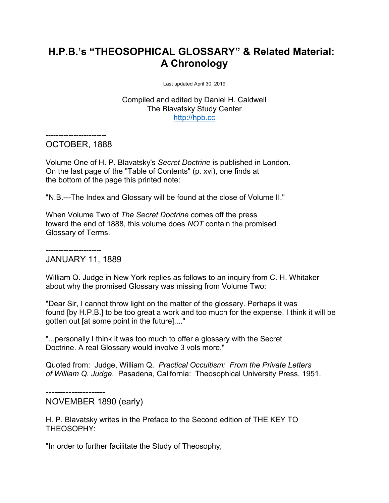# **H.P.B.'s "THEOSOPHICAL GLOSSARY" & Related Material: A Chronology**

Last updated April 30, 2019

Compiled and edited by Daniel H. Caldwell The Blavatsky Study Center [http://hpb.cc](http://hpb.cc/)

------------------------ OCTOBER, 1888

Volume One of H. P. Blavatsky's *Secret Doctrine* is published in London. On the last page of the "Table of Contents" (p. xvi), one finds at the bottom of the page this printed note:

"N.B.---The Index and Glossary will be found at the close of Volume II."

When Volume Two of *The Secret Doctrine* comes off the press toward the end of 1888, this volume does *NOT* contain the promised Glossary of Terms.

#### ---------------------- JANUARY 11, 1889

William Q. Judge in New York replies as follows to an inquiry from C. H. Whitaker about why the promised Glossary was missing from Volume Two:

"Dear Sir, I cannot throw light on the matter of the glossary. Perhaps it was found [by H.P.B.] to be too great a work and too much for the expense. I think it will be gotten out [at some point in the future]...."

"...personally I think it was too much to offer a glossary with the Secret Doctrine. A real Glossary would involve 3 vols more."

Quoted from: Judge, William Q. *Practical Occultism: From the Private Letters of William Q. Judge*. Pasadena, California: Theosophical University Press, 1951.

---------------------

NOVEMBER 1890 (early)

H. P. Blavatsky writes in the Preface to the Second edition of THE KEY TO THEOSOPHY:

"In order to further facilitate the Study of Theosophy,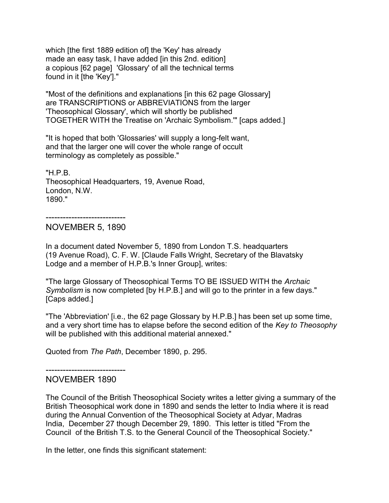which Ithe first 1889 edition of the 'Key' has already made an easy task, I have added [in this 2nd. edition] a copious [62 page] 'Glossary' of all the technical terms found in it [the 'Key']."

"Most of the definitions and explanations [in this 62 page Glossary] are TRANSCRIPTIONS or ABBREVIATIONS from the larger 'Theosophical Glossary', which will shortly be published TOGETHER WITH the Treatise on 'Archaic Symbolism.'" [caps added.]

"It is hoped that both 'Glossaries' will supply a long-felt want, and that the larger one will cover the whole range of occult terminology as completely as possible."

"H.P.B. Theosophical Headquarters, 19, Avenue Road, London, N.W. 1890."

----------------------------

NOVEMBER 5, 1890

In a document dated November 5, 1890 from London T.S. headquarters (19 Avenue Road), C. F. W. [Claude Falls Wright, Secretary of the Blavatsky Lodge and a member of H.P.B.'s Inner Group], writes:

"The large Glossary of Theosophical Terms TO BE ISSUED WITH the *Archaic Symbolism* is now completed [by H.P.B.] and will go to the printer in a few days." [Caps added.]

"The 'Abbreviation' [i.e., the 62 page Glossary by H.P.B.] has been set up some time, and a very short time has to elapse before the second edition of the *Key to Theosophy* will be published with this additional material annexed."

Quoted from *The Path*, December 1890, p. 295.

----------------------------

## NOVEMBER 1890

The Council of the British Theosophical Society writes a letter giving a summary of the British Theosophical work done in 1890 and sends the letter to India where it is read during the Annual Convention of the Theosophical Society at Adyar, Madras India, December 27 though December 29, 1890. This letter is titled "From the Council of the British T.S. to the General Council of the Theosophical Society."

In the letter, one finds this significant statement: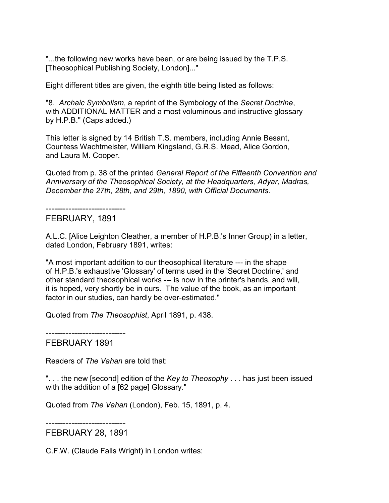"...the following new works have been, or are being issued by the T.P.S. [Theosophical Publishing Society, London]..."

Eight different titles are given, the eighth title being listed as follows:

"8. *Archaic Symbolism*, a reprint of the Symbology of the *Secret Doctrine*, with ADDITIONAL MATTER and a most voluminous and instructive glossary by H.P.B." (Caps added.)

This letter is signed by 14 British T.S. members, including Annie Besant, Countess Wachtmeister, William Kingsland, G.R.S. Mead, Alice Gordon, and Laura M. Cooper.

Quoted from p. 38 of the printed *General Report of the Fifteenth Convention and Anniversary of the Theosophical Society, at the Headquarters, Adyar, Madras, December the 27th, 28th, and 29th, 1890, with Official Documents*.

----------------------------

## FEBRUARY, 1891

A.L.C. [Alice Leighton Cleather, a member of H.P.B.'s Inner Group) in a letter, dated London, February 1891, writes:

"A most important addition to our theosophical literature --- in the shape of H.P.B.'s exhaustive 'Glossary' of terms used in the 'Secret Doctrine,' and other standard theosophical works --- is now in the printer's hands, and will, it is hoped, very shortly be in ours. The value of the book, as an important factor in our studies, can hardly be over-estimated."

Quoted from *The Theosophist*, April 1891, p. 438.

----------------------------

## FEBRUARY 1891

Readers of *The Vahan* are told that:

". . . the new [second] edition of the *Key to Theosophy* . . . has just been issued with the addition of a [62 page] Glossary."

Quoted from *The Vahan* (London), Feb. 15, 1891, p. 4.

----------------------------

FEBRUARY 28, 1891

C.F.W. (Claude Falls Wright) in London writes: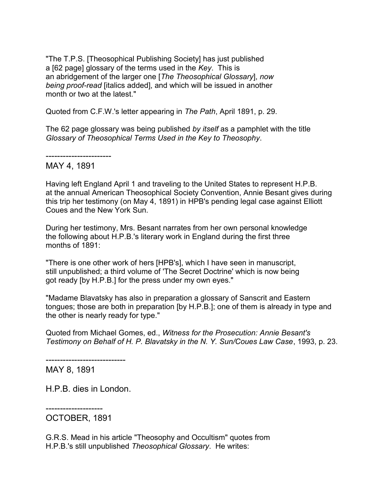"The T.P.S. [Theosophical Publishing Society] has just published a [62 page] glossary of the terms used in the *Key*. This is an abridgement of the larger one [*The Theosophical Glossary*], *now being proof-read* [italics added], and which will be issued in another month or two at the latest."

Quoted from C.F.W.'s letter appearing in *The Path*, April 1891, p. 29.

The 62 page glossary was being published *by itself* as a pamphlet with the title *Glossary of Theosophical Terms Used in the Key to Theosophy*.

----------------------- MAY 4, 1891

Having left England April 1 and traveling to the United States to represent H.P.B. at the annual American Theosophical Society Convention, Annie Besant gives during this trip her testimony (on May 4, 1891) in HPB's pending legal case against Elliott Coues and the New York Sun.

During her testimony, Mrs. Besant narrates from her own personal knowledge the following about H.P.B.'s literary work in England during the first three months of 1891:

"There is one other work of hers [HPB's], which I have seen in manuscript, still unpublished; a third volume of 'The Secret Doctrine' which is now being got ready [by H.P.B.] for the press under my own eyes."

"Madame Blavatsky has also in preparation a glossary of Sanscrit and Eastern tongues; those are both in preparation [by H.P.B.]; one of them is already in type and the other is nearly ready for type."

Quoted from Michael Gomes, ed., *Witness for the Prosecution: Annie Besant's Testimony on Behalf of H. P. Blavatsky in the N. Y. Sun/Coues Law Case*, 1993, p. 23.

---------------------------- MAY 8, 1891

H.P.B. dies in London.

-------------------- OCTOBER, 1891

G.R.S. Mead in his article "Theosophy and Occultism" quotes from H.P.B.'s still unpublished *Theosophical Glossary*. He writes: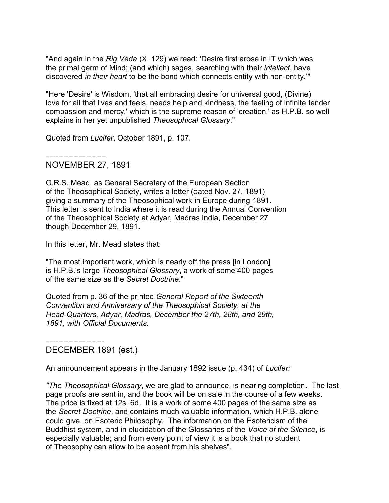"And again in the *Rig Veda* (X. 129) we read: 'Desire first arose in IT which was the primal germ of Mind; (and which) sages, searching with their *intellect*, have discovered *in their heart* to be the bond which connects entity with non-entity.'"

"Here 'Desire' is Wisdom, 'that all embracing desire for universal good, (Divine) love for all that lives and feels, needs help and kindness, the feeling of infinite tender compassion and mercy,' which is the supreme reason of 'creation,' as H.P.B. so well explains in her yet unpublished *Theosophical Glossary*."

Quoted from *Lucifer*, October 1891, p. 107.

------------------------

## NOVEMBER 27, 1891

G.R.S. Mead, as General Secretary of the European Section of the Theosophical Society, writes a letter (dated Nov. 27, 1891) giving a summary of the Theosophical work in Europe during 1891. This letter is sent to India where it is read during the Annual Convention of the Theosophical Society at Adyar, Madras India, December 27 though December 29, 1891.

In this letter, Mr. Mead states that:

"The most important work, which is nearly off the press [in London] is H.P.B.'s large *Theosophical Glossary*, a work of some 400 pages of the same size as the *Secret Doctrine*."

Quoted from p. 36 of the printed *General Report of the Sixteenth Convention and Anniversary of the Theosophical Society, at the Head-Quarters, Adyar, Madras, December the 27th, 28th, and 29th, 1891, with Official Documents*.

----------------------- DECEMBER 1891 (est.)

An announcement appears in the January 1892 issue (p. 434) of *Lucifer:*

*"The Theosophical Glossary*, we are glad to announce, is nearing completion. The last page proofs are sent in, and the book will be on sale in the course of a few weeks. The price is fixed at 12s. 6d. It is a work of some 400 pages of the same size as the *Secret Doctrine*, and contains much valuable information, which H.P.B. alone could give, on Esoteric Philosophy. The information on the Esotericism of the Buddhist system, and in elucidation of the Glossaries of the *Voice of the Silence*, is especially valuable; and from every point of view it is a book that no student of Theosophy can allow to be absent from his shelves".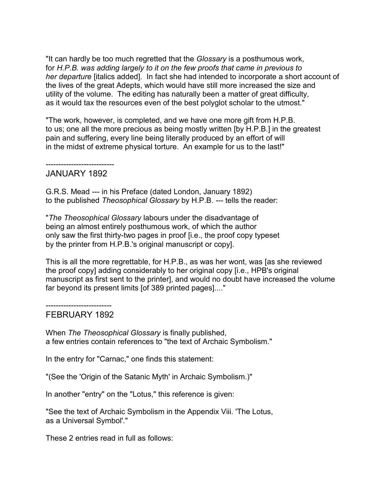"It can hardly be too much regretted that the *Glossary* is a posthumous work, for *H.P.B. was adding largely to it on the few proofs that came in previous to her departure* [italics added]. In fact she had intended to incorporate a short account of the lives of the great Adepts, which would have still more increased the size and utility of the volume. The editing has naturally been a matter of great difficulty, as it would tax the resources even of the best polyglot scholar to the utmost."

"The work, however, is completed, and we have one more gift from H.P.B. to us; one all the more precious as being mostly written [by H.P.B.] in the greatest pain and suffering, every line being literally produced by an effort of will in the midst of extreme physical torture. An example for us to the last!"

---------------------------

## JANUARY 1892

G.R.S. Mead --- in his Preface (dated London, January 1892) to the published *Theosophical Glossary* by H.P.B. --- tells the reader:

"*The Theosophical Glossary* labours under the disadvantage of being an almost entirely posthumous work, of which the author only saw the first thirty-two pages in proof [i.e., the proof copy typeset by the printer from H.P.B.'s original manuscript or copy].

This is all the more regrettable, for H.P.B., as was her wont, was [as she reviewed the proof copy] adding considerably to her original copy [i.e., HPB's original manuscript as first sent to the printer], and would no doubt have increased the volume far beyond its present limits [of 389 printed pages]...."

#### -------------------------- FEBRUARY 1892

When *The Theosophical Glossary* is finally published, a few entries contain references to "the text of Archaic Symbolism."

In the entry for "Carnac," one finds this statement:

"(See the 'Origin of the Satanic Myth' in Archaic Symbolism.)"

In another "entry" on the "Lotus," this reference is given:

"See the text of Archaic Symbolism in the Appendix Viii. 'The Lotus, as a Universal Symbol'."

These 2 entries read in full as follows: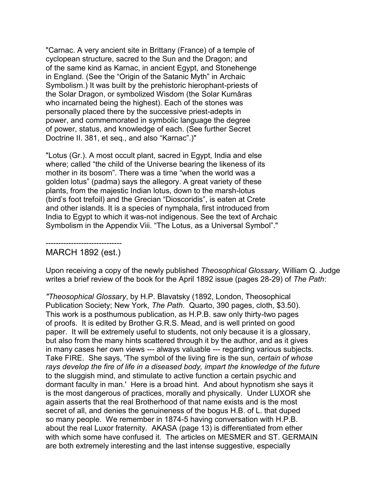"Carnac. A very ancient site in Brittany (France) of a temple of cyclopean structure, sacred to the Sun and the Dragon; and of the same kind as Karnac, in ancient Egypt, and Stonehenge in England. (See the "Origin of the Satanic Myth" in Archaic Symbolism.) It was built by the prehistoric hierophant-priests of the Solar Dragon, or symbolized Wisdom (the Solar Kumâras who incarnated being the highest). Each of the stones was personally placed there by the successive priest-adepts in power, and commemorated in symbolic language the degree of power, status, and knowledge of each. (See further Secret Doctrine II. 381, et seq., and also "Karnac".)"

"Lotus (Gr.). A most occult plant, sacred in Egypt, India and else where; called "the child of the Universe bearing the likeness of its mother in its bosom". There was a time "when the world was a golden lotus" (padma) says the allegory. A great variety of these plants, from the majestic Indian lotus, down to the marsh-lotus (bird's foot trefoil) and the Grecian "Dioscoridis", is eaten at Crete and other islands. It is a species of nymphala, first introduced from India to Egypt to which it was-not indigenous. See the text of Archaic Symbolism in the Appendix Viii. "The Lotus, as a Universal Symbol"."

#### ------------------------------ MARCH 1892 (est.)

Upon receiving a copy of the newly published *Theosophical Glossary*, William Q. Judge writes a brief review of the book for the April 1892 issue (pages 28-29) of *The Path*:

*"Theosophical Glossary*, by H.P. Blavatsky (1892, London, Theosophical Publication Society; New York, *The Path*. Quarto, 390 pages, cloth, \$3.50). This work is a posthumous publication, as H.P.B. saw only thirty-two pages of proofs. It is edited by Brother G.R.S. Mead, and is well printed on good paper. It will be extremely useful to students, not only because it is a glossary, but also from the many hints scattered through it by the author, and as it gives in many cases her own views --- always valuable --- regarding various subjects. Take FIRE. She says, 'The symbol of the living fire is the sun, *certain of whose rays develop the fire of life in a diseased body, impart the knowledge of the future* to the sluggish mind, and stimulate to active function a certain psychic and dormant faculty in man.' Here is a broad hint. And about hypnotism she says it is the most dangerous of practices, morally and physically. Under LUXOR she again asserts that the real Brotherhood of that name exists and is the most secret of all, and denies the genuineness of the bogus H.B. of L. that duped so many people. We remember in 1874-5 having conversation with H.P.B. about the real Luxor fraternity. AKASA (page 13) is differentiated from ether with which some have confused it. The articles on MESMER and ST. GERMAIN are both extremely interesting and the last intense suggestive, especially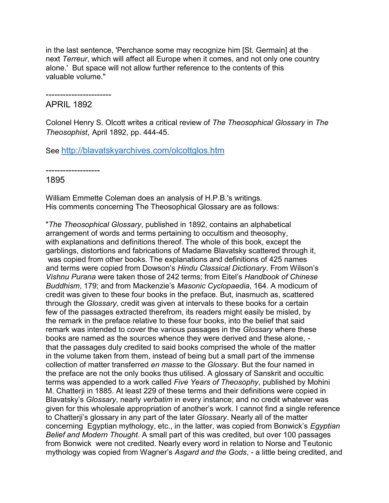in the last sentence, 'Perchance some may recognize him [St. Germain] at the next *Terreur*, which will affect all Europe when it comes, and not only one country alone.' But space will not allow further reference to the contents of this valuable volume."

-----------------------

## APRIL 1892

Colonel Henry S. Olcott writes a critical review of *The Theosophical Glossary* in *The Theosophist*, April 1892, pp. 444-45.

See <http://blavatskyarchives.com/olcottglos.htm>

-------------------

## 1895

William Emmette Coleman does an analysis of H.P.B.'s writings. His comments concerning The Theosophical Glossary are as follows:

"*The Theosophical Glossary*, published in 1892, contains an alphabetical arrangement of words and terms pertaining to occultism and theosophy, with explanations and definitions thereof. The whole of this book, except the garblings, distortions and fabrications of Madame Blavatsky scattered through it, was copied from other books. The explanations and definitions of 425 names and terms were copied from Dowson's *Hindu Classical Dictionary*. From Wilson's *Vishnu Purana* were taken those of 242 terms; from Eitel's *Handbook of Chinese Buddhism*, 179; and from Mackenzie's *Masonic Cyclopaedia*, 164. A modicum of credit was given to these four books in the preface. But, inasmuch as, scattered through the *Glossary*, credit was given at intervals to these books for a certain few of the passages extracted therefrom, its readers might easily be misled, by the remark in the preface relative to these four books, into the belief that said remark was intended to cover the various passages in the *Glossary* where these books are named as the sources whence they were derived and these alone, that the passages duly credited to said books comprised the whole of the matter in the volume taken from them, instead of being but a small part of the immense collection of matter transferred *en masse* to the *Glossary*. But the four named in the preface are not the only books thus utilised. A glossary of Sanskrit and occultic terms was appended to a work called *Five Years of Theosophy*, published by Mohini M. Chatterji in 1885. At least 229 of these terms and their definitions were copied in Blavatsky's *Glossary*, nearly *verbatim* in every instance; and no credit whatever was given for this wholesale appropriation of another's work. I cannot find a single reference to Chatterji's glossary in any part of the later *Glossary*. Nearly all of the matter concerning Egyptian mythology, etc., in the latter, was copied from Bonwick's *Egyptian Belief and Modern Thought*. A small part of this was credited, but over 100 passages from Bonwick were not credited. Nearly every word in relation to Norse and Teutonic mythology was copied from Wagner's *Asgard and the Gods*, - a little being credited, and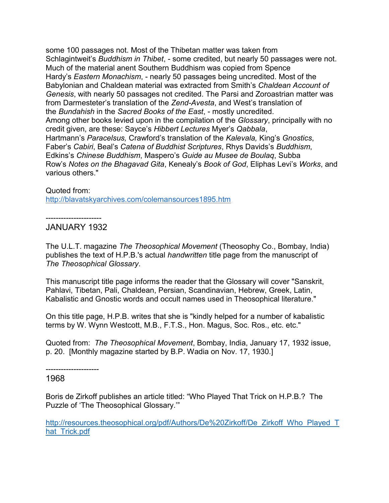some 100 passages not. Most of the Thibetan matter was taken from Schlagintweit's *Buddhism in Thibet*, - some credited, but nearly 50 passages were not. Much of the material anent Southern Buddhism was copied from Spence Hardy's *Eastern Monachism*, - nearly 50 passages being uncredited. Most of the Babylonian and Chaldean material was extracted from Smith's *Chaldean Account of Genesis*, with nearly 50 passages not credited. The Parsi and Zoroastrian matter was from Darmesteter's translation of the *Zend-Avesta*, and West's translation of the *Bundahish* in the *Sacred Books of the East*, - mostly uncredited. Among other books levied upon in the compilation of the *Glossary*, principally with no credit given, are these: Sayce's *Hibbert Lectures* Myer's *Qabbala*, Hartmann's *Paracelsus,* Crawford's translation of the *Kalevala,* King's *Gnostics*, Faber's *Cabiri*, Beal's *Catena of Buddhist Scriptures*, Rhys Davids's *Buddhism*, Edkins's *Chinese Buddhism*, Maspero's *Guide au Musee de Boulaq*, Subba Row's *Notes on the Bhagavad Gita*, Kenealy's *Book of God*, Eliphas Levi's *Works*, and various others."

#### Quoted from:

<http://blavatskyarchives.com/colemansources1895.htm>

----------------------

## JANUARY 1932

The U.L.T. magazine *The Theosophical Movement* (Theosophy Co., Bombay, India) publishes the text of H.P.B.'s actual *handwritten* title page from the manuscript of *The Theosophical Glossary*.

This manuscript title page informs the reader that the Glossary will cover "Sanskrit, Pahlavi, Tibetan, Pali, Chaldean, Persian, Scandinavian, Hebrew, Greek, Latin, Kabalistic and Gnostic words and occult names used in Theosophical literature."

On this title page, H.P.B. writes that she is "kindly helped for a number of kabalistic terms by W. Wynn Westcott, M.B., F.T.S., Hon. Magus, Soc. Ros., etc. etc."

Quoted from: *The Theosophical Movement*, Bombay, India, January 17, 1932 issue, p. 20. [Monthly magazine started by B.P. Wadia on Nov. 17, 1930.]

--------------------- 1968

Boris de Zirkoff publishes an article titled: "Who Played That Trick on H.P.B.? The Puzzle of 'The Theosophical Glossary.'"

[http://resources.theosophical.org/pdf/Authors/De%20Zirkoff/De\\_Zirkoff\\_Who\\_Played\\_T](http://resources.theosophical.org/pdf/Authors/De%20Zirkoff/De_Zirkoff_Who_Played_That_Trick.pdf) hat Trick.pdf